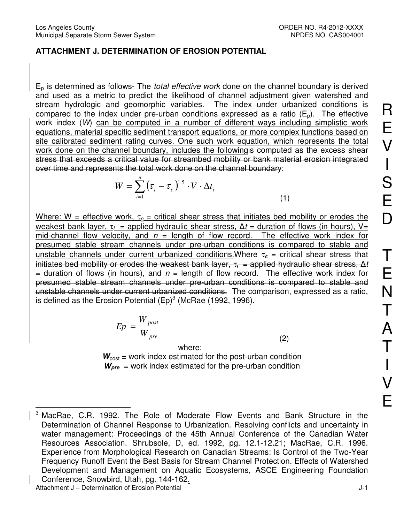## **ATTACHMENT J. DETERMINATION OF EROSION POTENTIAL**

 $E<sub>p</sub>$  is determined as follows- The *total effective work* done on the channel boundary is derived and used as a metric to predict the likelihood of channel adjustment given watershed and stream hydrologic and geomorphic variables. The index under urbanized conditions is compared to the index under pre-urban conditions expressed as a ratio  $(E_n)$ . The effective work index (W) can be computed in a number of different ways including simplistic work equations, material specific sediment transport equations, or more complex functions based on site calibrated sediment rating curves. One such work equation, which represents the total work done on the channel boundary, includes the followingis computed as the excess shear stress that exceeds a critical value for streambed mobility or bank material erosion integrated over time and represents the total work done on the channel boundary:

$$
W = \sum_{i=1}^{n} \left(\tau_i - \tau_c\right)^{1.5} \cdot V \cdot \Delta t_i
$$
\n(1)

Where: W = effective work,  $\tau_c$  = critical shear stress that initiates bed mobility or erodes the weakest bank layer,  $\tau_i$  = applied hydraulic shear stress,  $\Delta t$  = duration of flows (in hours), V= mid-channel flow velocity, and  $n =$  length of flow record. The effective work index for presumed stable stream channels under pre-urban conditions is compared to stable and unstable channels under current urbanized conditions. Where  $\tau_c$  = critical shear stress that initiates bed mobility or erodes the weakest bank layer,  $\tau_i$  = applied hydraulic shear stress,  $\Delta t$  $=$  duration of flows (in hours), and  $n =$  length of flow record. The effective work index for presumed stable stream channels under pre-urban conditions is compared to stable and unstable channels under current urbanized conditions. The comparison, expressed as a ratio, is defined as the Erosion Potential (Ep) $3$  (McRae (1992, 1996).

$$
Ep = \frac{W_{post}}{W_{pre}}\tag{2}
$$

where:

 $W_{\text{post}}$  = work index estimated for the post-urban condition  $W_{\text{pre}}$  = work index estimated for the pre-urban condition

 $\overline{\phantom{a}}$ 3 MacRae, C.R. 1992. The Role of Moderate Flow Events and Bank Structure in the Determination of Channel Response to Urbanization. Resolving conflicts and uncertainty in water management: Proceedings of the 45th Annual Conference of the Canadian Water Resources Association. Shrubsole, D, ed. 1992, pg. 12.1-12.21; MacRae, C.R. 1996. Experience from Morphological Research on Canadian Streams: Is Control of the Two-Year Frequency Runoff Event the Best Basis for Stream Channel Protection. Effects of Watershed Development and Management on Aquatic Ecosystems, ASCE Engineering Foundation Conference, Snowbird, Utah, pg. 144-162.

Attachment J – Determination of Erosion Potential J-1